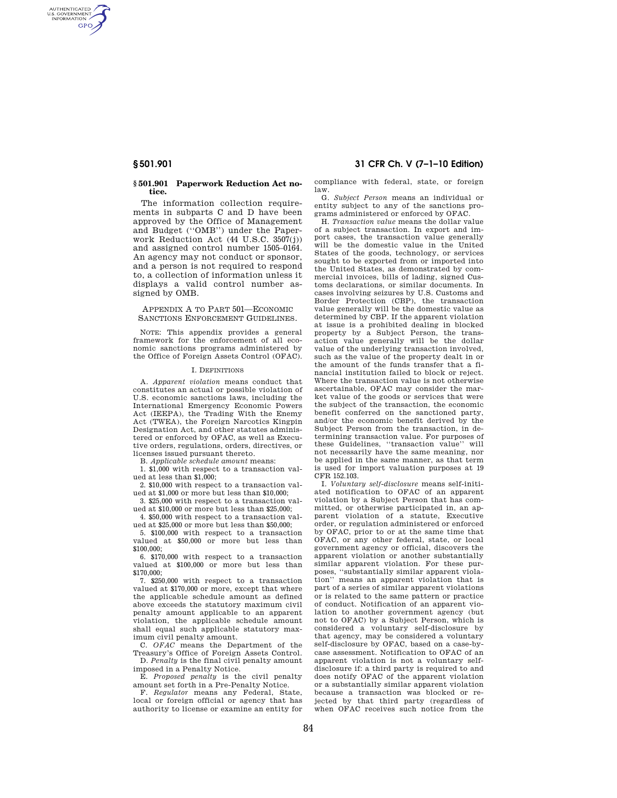AUTHENTICATED<br>U.S. GOVERNMENT<br>INFORMATION **GPO** 

## **§ 501.901 Paperwork Reduction Act notice.**

The information collection requirements in subparts C and D have been approved by the Office of Management and Budget (''OMB'') under the Paperwork Reduction Act (44 U.S.C. 3507(j)) and assigned control number 1505–0164. An agency may not conduct or sponsor, and a person is not required to respond to, a collection of information unless it displays a valid control number assigned by OMB.

# APPENDIX A TO PART 501—ECONOMIC SANCTIONS ENFORCEMENT GUIDELINES.

NOTE: This appendix provides a general framework for the enforcement of all economic sanctions programs administered by the Office of Foreign Assets Control (OFAC).

# I. DEFINITIONS

A. *Apparent violation* means conduct that constitutes an actual or possible violation of U.S. economic sanctions laws, including the International Emergency Economic Powers Act (IEEPA), the Trading With the Enemy Act (TWEA), the Foreign Narcotics Kingpin Designation Act, and other statutes administered or enforced by OFAC, as well as Executive orders, regulations, orders, directives, or licenses issued pursuant thereto.

B. *Applicable schedule amount* means:

1. \$1,000 with respect to a transaction valued at less than \$1,000;

2. \$10,000 with respect to a transaction valued at \$1,000 or more but less than \$10,000;

3. \$25,000 with respect to a transaction valued at \$10,000 or more but less than \$25,000;

4. \$50,000 with respect to a transaction valued at \$25,000 or more but less than \$50,000;

5. \$100,000 with respect to a transaction valued at \$50,000 or more but less than \$100,000;

6. \$170,000 with respect to a transaction valued at \$100,000 or more but less than \$170,000;

7. \$250,000 with respect to a transaction valued at \$170,000 or more, except that where the applicable schedule amount as defined above exceeds the statutory maximum civil penalty amount applicable to an apparent violation, the applicable schedule amount shall equal such applicable statutory maximum civil penalty amount.

C. *OFAC* means the Department of the Treasury's Office of Foreign Assets Control. D. *Penalty* is the final civil penalty amount

imposed in a Penalty Notice.

E. *Proposed penalty* is the civil penalty amount set forth in a Pre-Penalty Notice.

F. *Regulator* means any Federal, State, local or foreign official or agency that has authority to license or examine an entity for

**§ 501.901 31 CFR Ch. V (7–1–10 Edition)** 

compliance with federal, state, or foreign law.

G. *Subject Person* means an individual or entity subject to any of the sanctions programs administered or enforced by OFAC.

H. *Transaction value* means the dollar value of a subject transaction. In export and import cases, the transaction value generally will be the domestic value in the United States of the goods, technology, or services sought to be exported from or imported into the United States, as demonstrated by commercial invoices, bills of lading, signed Customs declarations, or similar documents. In cases involving seizures by U.S. Customs and Border Protection (CBP), the transaction value generally will be the domestic value as determined by CBP. If the apparent violation at issue is a prohibited dealing in blocked property by a Subject Person, the transaction value generally will be the dollar value of the underlying transaction involved, such as the value of the property dealt in or the amount of the funds transfer that a financial institution failed to block or reject. Where the transaction value is not otherwise ascertainable, OFAC may consider the market value of the goods or services that were the subject of the transaction, the economic benefit conferred on the sanctioned party, and/or the economic benefit derived by the Subject Person from the transaction, in determining transaction value. For purposes of these Guidelines, ''transaction value'' will not necessarily have the same meaning, nor be applied in the same manner, as that term is used for import valuation purposes at 19 CFR 152.103.

I. *Voluntary self-disclosure* means self-initiated notification to OFAC of an apparent violation by a Subject Person that has committed, or otherwise participated in, an apparent violation of a statute, Executive order, or regulation administered or enforced by OFAC, prior to or at the same time that OFAC, or any other federal, state, or local government agency or official, discovers the apparent violation or another substantially similar apparent violation. For these purposes, ''substantially similar apparent violation'' means an apparent violation that is part of a series of similar apparent violations or is related to the same pattern or practice of conduct. Notification of an apparent violation to another government agency (but not to OFAC) by a Subject Person, which is considered a voluntary self-disclosure by that agency, may be considered a voluntary self-disclosure by OFAC, based on a case-bycase assessment. Notification to OFAC of an apparent violation is not a voluntary selfdisclosure if: a third party is required to and does notify OFAC of the apparent violation or a substantially similar apparent violation because a transaction was blocked or rejected by that third party (regardless of when OFAC receives such notice from the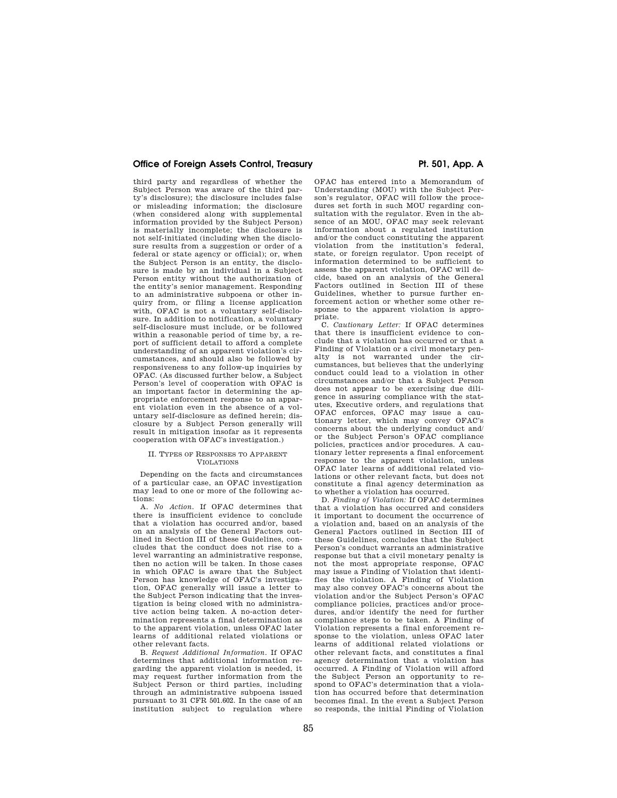# Office of Foreign Assets Control, Treasury **Pr. 501, App. A**

third party and regardless of whether the Subject Person was aware of the third party's disclosure); the disclosure includes false or misleading information; the disclosure (when considered along with supplemental information provided by the Subject Person) is materially incomplete; the disclosure is not self-initiated (including when the disclosure results from a suggestion or order of a federal or state agency or official); or, when the Subject Person is an entity, the disclosure is made by an individual in a Subject Person entity without the authorization of the entity's senior management. Responding to an administrative subpoena or other inquiry from, or filing a license application with, OFAC is not a voluntary self-disclosure. In addition to notification, a voluntary self-disclosure must include, or be followed within a reasonable period of time by, a report of sufficient detail to afford a complete understanding of an apparent violation's circumstances, and should also be followed by responsiveness to any follow-up inquiries by OFAC. (As discussed further below, a Subject Person's level of cooperation with OFAC is an important factor in determining the appropriate enforcement response to an apparent violation even in the absence of a voluntary self-disclosure as defined herein; disclosure by a Subject Person generally will result in mitigation insofar as it represents cooperation with OFAC's investigation.)

## II. TYPES OF RESPONSES TO APPARENT VIOLATIONS

Depending on the facts and circumstances of a particular case, an OFAC investigation may lead to one or more of the following actions:

A. *No Action.* If OFAC determines that there is insufficient evidence to conclude that a violation has occurred and/or, based on an analysis of the General Factors outlined in Section III of these Guidelines, concludes that the conduct does not rise to a level warranting an administrative response, then no action will be taken. In those cases in which OFAC is aware that the Subject Person has knowledge of OFAC's investigation, OFAC generally will issue a letter to the Subject Person indicating that the investigation is being closed with no administrative action being taken. A no-action determination represents a final determination as to the apparent violation, unless OFAC later learns of additional related violations or other relevant facts.

B. *Request Additional Information.* If OFAC determines that additional information regarding the apparent violation is needed, it may request further information from the Subject Person or third parties, including through an administrative subpoena issued pursuant to 31 CFR 501.602. In the case of an institution subject to regulation where

OFAC has entered into a Memorandum of Understanding (MOU) with the Subject Person's regulator. OFAC will follow the procedures set forth in such MOU regarding consultation with the regulator. Even in the absence of an MOU, OFAC may seek relevant information about a regulated institution and/or the conduct constituting the apparent violation from the institution's federal, state, or foreign regulator. Upon receipt of information determined to be sufficient to assess the apparent violation, OFAC will decide, based on an analysis of the General Factors outlined in Section III of these Guidelines, whether to pursue further enforcement action or whether some other response to the apparent violation is appropriate.

C. *Cautionary Letter:* If OFAC determines that there is insufficient evidence to conclude that a violation has occurred or that a Finding of Violation or a civil monetary penalty is not warranted under the circumstances, but believes that the underlying conduct could lead to a violation in other circumstances and/or that a Subject Person does not appear to be exercising due diligence in assuring compliance with the statutes, Executive orders, and regulations that OFAC enforces, OFAC may issue a cautionary letter, which may convey OFAC's concerns about the underlying conduct and/ or the Subject Person's OFAC compliance policies, practices and/or procedures. A cautionary letter represents a final enforcement response to the apparent violation, unless OFAC later learns of additional related violations or other relevant facts, but does not constitute a final agency determination as to whether a violation has occurred.

D. *Finding of Violation:* If OFAC determines that a violation has occurred and considers it important to document the occurrence of a violation and, based on an analysis of the General Factors outlined in Section III of these Guidelines, concludes that the Subject Person's conduct warrants an administrative response but that a civil monetary penalty is not the most appropriate response, OFAC may issue a Finding of Violation that identifies the violation. A Finding of Violation may also convey OFAC's concerns about the violation and/or the Subject Person's OFAC compliance policies, practices and/or procedures, and/or identify the need for further compliance steps to be taken. A Finding of Violation represents a final enforcement response to the violation, unless OFAC later learns of additional related violations or other relevant facts, and constitutes a final agency determination that a violation has occurred. A Finding of Violation will afford the Subject Person an opportunity to respond to OFAC's determination that a violation has occurred before that determination becomes final. In the event a Subject Person so responds, the initial Finding of Violation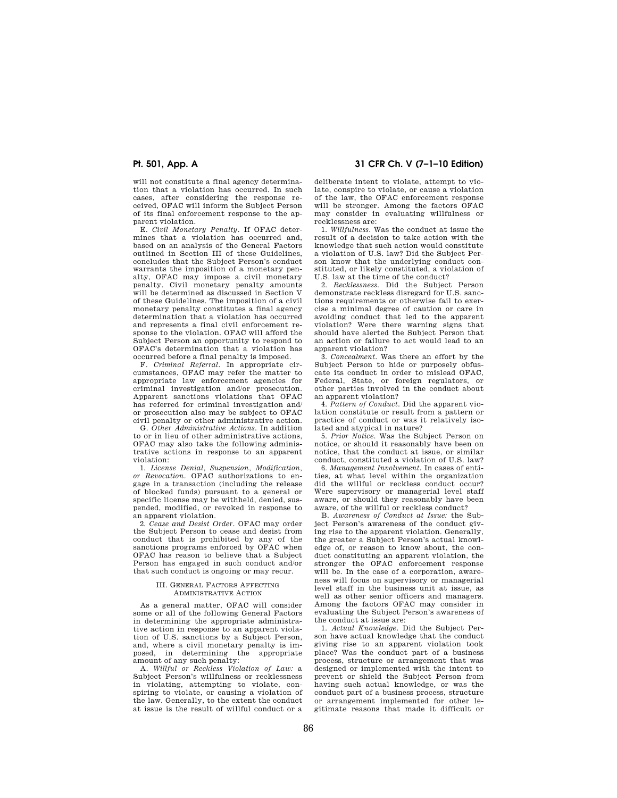will not constitute a final agency determination that a violation has occurred. In such cases, after considering the response received, OFAC will inform the Subject Person of its final enforcement response to the apparent violation.

E. *Civil Monetary Penalty.* If OFAC determines that a violation has occurred and, based on an analysis of the General Factors outlined in Section III of these Guidelines, concludes that the Subject Person's conduct warrants the imposition of a monetary penalty, OFAC may impose a civil monetary penalty. Civil monetary penalty amounts will be determined as discussed in Section V of these Guidelines. The imposition of a civil monetary penalty constitutes a final agency determination that a violation has occurred and represents a final civil enforcement response to the violation. OFAC will afford the Subject Person an opportunity to respond to OFAC's determination that a violation has occurred before a final penalty is imposed.

F. *Criminal Referral.* In appropriate circumstances, OFAC may refer the matter to appropriate law enforcement agencies for criminal investigation and/or prosecution. Apparent sanctions violations that OFAC has referred for criminal investigation and/ or prosecution also may be subject to OFAC civil penalty or other administrative action.

G. *Other Administrative Actions.* In addition to or in lieu of other administrative actions, OFAC may also take the following administrative actions in response to an apparent violation:

1. *License Denial, Suspension, Modification, or Revocation.* OFAC authorizations to engage in a transaction (including the release of blocked funds) pursuant to a general or specific license may be withheld, denied, suspended, modified, or revoked in response to an apparent violation.

2. *Cease and Desist Order.* OFAC may order the Subject Person to cease and desist from conduct that is prohibited by any of the sanctions programs enforced by OFAC when OFAC has reason to believe that a Subject Person has engaged in such conduct and/or that such conduct is ongoing or may recur.

### III. GENERAL FACTORS AFFECTING ADMINISTRATIVE ACTION

As a general matter, OFAC will consider some or all of the following General Factors in determining the appropriate administrative action in response to an apparent violation of U.S. sanctions by a Subject Person, and, where a civil monetary penalty is imposed, in determining the appropriate amount of any such penalty:

A. *Willful or Reckless Violation of Law:* a Subject Person's willfulness or recklessness in violating, attempting to violate, conspiring to violate, or causing a violation of the law. Generally, to the extent the conduct at issue is the result of willful conduct or a

# **Pt. 501, App. A 31 CFR Ch. V (7–1–10 Edition)**

deliberate intent to violate, attempt to violate, conspire to violate, or cause a violation of the law, the OFAC enforcement response will be stronger. Among the factors OFAC may consider in evaluating willfulness or recklessness are:

1. *Willfulness.* Was the conduct at issue the result of a decision to take action with the knowledge that such action would constitute a violation of U.S. law? Did the Subject Person know that the underlying conduct constituted, or likely constituted, a violation of U.S. law at the time of the conduct?

2. *Recklessness.* Did the Subject Person demonstrate reckless disregard for U.S. sanctions requirements or otherwise fail to exercise a minimal degree of caution or care in avoiding conduct that led to the apparent violation? Were there warning signs that should have alerted the Subject Person that an action or failure to act would lead to an apparent violation?

3. *Concealment.* Was there an effort by the Subject Person to hide or purposely obfuscate its conduct in order to mislead OFAC, Federal, State, or foreign regulators, or other parties involved in the conduct about an apparent violation?

4. *Pattern of Conduct.* Did the apparent violation constitute or result from a pattern or practice of conduct or was it relatively isolated and atypical in nature?

5. *Prior Notice.* Was the Subject Person on notice, or should it reasonably have been on notice, that the conduct at issue, or similar conduct, constituted a violation of U.S. law?

6. *Management Involvement.* In cases of entities, at what level within the organization did the willful or reckless conduct occur? Were supervisory or managerial level staff aware, or should they reasonably have been aware, of the willful or reckless conduct?

B. *Awareness of Conduct at Issue:* the Subject Person's awareness of the conduct giving rise to the apparent violation. Generally, the greater a Subject Person's actual knowledge of, or reason to know about, the conduct constituting an apparent violation, the stronger the OFAC enforcement response will be. In the case of a corporation, awareness will focus on supervisory or managerial level staff in the business unit at issue, as well as other senior officers and managers. Among the factors OFAC may consider in evaluating the Subject Person's awareness of the conduct at issue are:

1. *Actual Knowledge.* Did the Subject Person have actual knowledge that the conduct giving rise to an apparent violation took place? Was the conduct part of a business process, structure or arrangement that was designed or implemented with the intent to prevent or shield the Subject Person from having such actual knowledge, or was the conduct part of a business process, structure or arrangement implemented for other legitimate reasons that made it difficult or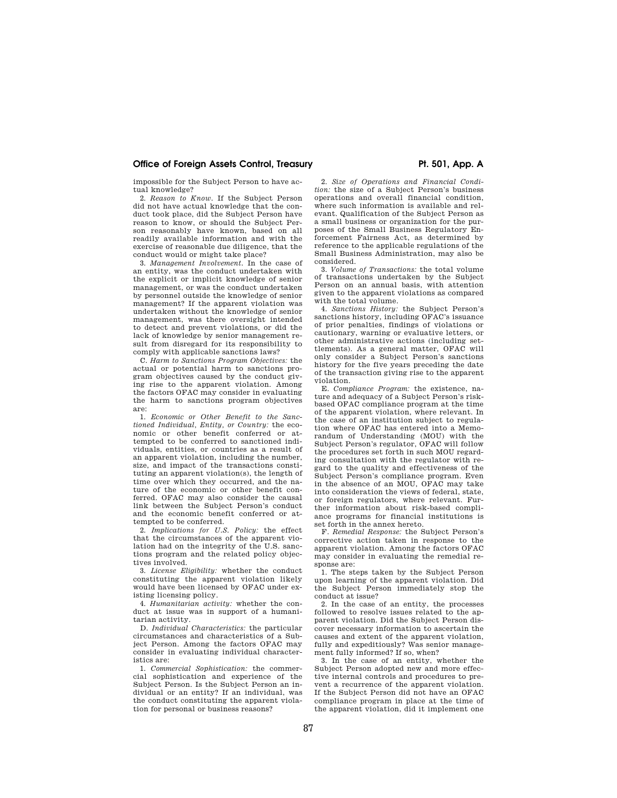# **Office of Foreign Assets Control, Treasury example 2011 Pt. 501, App. A**

impossible for the Subject Person to have actual knowledge?

2. *Reason to Know.* If the Subject Person did not have actual knowledge that the conduct took place, did the Subject Person have reason to know, or should the Subject Person reasonably have known, based on all readily available information and with the exercise of reasonable due diligence, that the conduct would or might take place?

3. *Management Involvement.* In the case of an entity, was the conduct undertaken with the explicit or implicit knowledge of senior management, or was the conduct undertaken by personnel outside the knowledge of senior management? If the apparent violation was undertaken without the knowledge of senior management, was there oversight intended to detect and prevent violations, or did the lack of knowledge by senior management result from disregard for its responsibility to comply with applicable sanctions laws?

C. *Harm to Sanctions Program Objectives:* the actual or potential harm to sanctions program objectives caused by the conduct giving rise to the apparent violation. Among the factors OFAC may consider in evaluating the harm to sanctions program objectives are:

1. *Economic or Other Benefit to the Sanctioned Individual, Entity, or Country:* the economic or other benefit conferred or attempted to be conferred to sanctioned individuals, entities, or countries as a result of an apparent violation, including the number, size, and impact of the transactions constituting an apparent violation(s), the length of time over which they occurred, and the nature of the economic or other benefit conferred. OFAC may also consider the causal link between the Subject Person's conduct and the economic benefit conferred or attempted to be conferred.

2. *Implications for U.S. Policy:* the effect that the circumstances of the apparent violation had on the integrity of the U.S. sanctions program and the related policy objectives involved.

3. *License Eligibility:* whether the conduct constituting the apparent violation likely would have been licensed by OFAC under existing licensing policy.

4. *Humanitarian activity:* whether the conduct at issue was in support of a humanitarian activity.

D. *Individual Characteristics:* the particular circumstances and characteristics of a Subject Person. Among the factors OFAC may consider in evaluating individual characteristics are:

1. *Commercial Sophistication:* the commercial sophistication and experience of the Subject Person. Is the Subject Person an individual or an entity? If an individual, was the conduct constituting the apparent violation for personal or business reasons?

2. *Size of Operations and Financial Condition:* the size of a Subject Person's business operations and overall financial condition, where such information is available and relevant. Qualification of the Subject Person as a small business or organization for the purposes of the Small Business Regulatory Enforcement Fairness Act, as determined by reference to the applicable regulations of the Small Business Administration, may also be considered.

3. *Volume of Transactions:* the total volume of transactions undertaken by the Subject Person on an annual basis, with attention given to the apparent violations as compared with the total volume.

4. *Sanctions History:* the Subject Person's sanctions history, including OFAC's issuance of prior penalties, findings of violations or cautionary, warning or evaluative letters, or other administrative actions (including settlements). As a general matter, OFAC will only consider a Subject Person's sanctions history for the five years preceding the date of the transaction giving rise to the apparent violation.

E. *Compliance Program:* the existence, nature and adequacy of a Subject Person's riskbased OFAC compliance program at the time of the apparent violation, where relevant. In the case of an institution subject to regulation where OFAC has entered into a Memorandum of Understanding (MOU) with the Subject Person's regulator, OFAC will follow the procedures set forth in such MOU regarding consultation with the regulator with regard to the quality and effectiveness of the Subject Person's compliance program. Even in the absence of an MOU, OFAC may take into consideration the views of federal, state, or foreign regulators, where relevant. Further information about risk-based compliance programs for financial institutions is set forth in the annex hereto.

F. *Remedial Response:* the Subject Person's corrective action taken in response to the apparent violation. Among the factors OFAC may consider in evaluating the remedial response are:

1. The steps taken by the Subject Person upon learning of the apparent violation. Did the Subject Person immediately stop the conduct at issue?

2. In the case of an entity, the processes followed to resolve issues related to the apparent violation. Did the Subject Person discover necessary information to ascertain the causes and extent of the apparent violation, fully and expeditiously? Was senior management fully informed? If so, when?

3. In the case of an entity, whether the Subject Person adopted new and more effective internal controls and procedures to prevent a recurrence of the apparent violation. If the Subject Person did not have an OFAC compliance program in place at the time of the apparent violation, did it implement one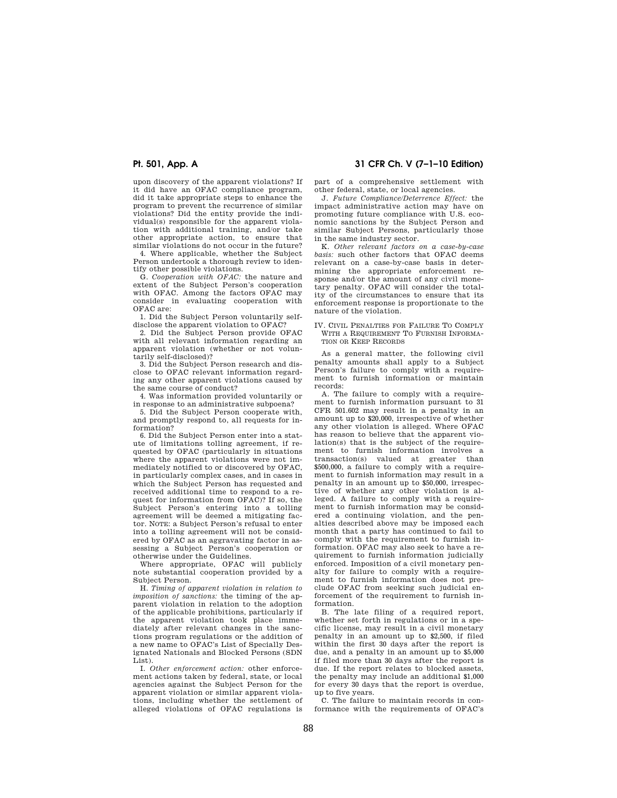upon discovery of the apparent violations? If it did have an OFAC compliance program, did it take appropriate steps to enhance the program to prevent the recurrence of similar violations? Did the entity provide the individual(s) responsible for the apparent violation with additional training, and/or take other appropriate action, to ensure that similar violations do not occur in the future?

4. Where applicable, whether the Subject Person undertook a thorough review to identify other possible violations.

G. *Cooperation with OFAC:* the nature and extent of the Subject Person's cooperation with OFAC. Among the factors OFAC may consider in evaluating cooperation with OFAC are:

1. Did the Subject Person voluntarily selfdisclose the apparent violation to OFAC?

2. Did the Subject Person provide OFAC with all relevant information regarding an apparent violation (whether or not voluntarily self-disclosed)?

3. Did the Subject Person research and disclose to OFAC relevant information regarding any other apparent violations caused by the same course of conduct?

4. Was information provided voluntarily or in response to an administrative subpoena?

5. Did the Subject Person cooperate with, and promptly respond to, all requests for information?

6. Did the Subject Person enter into a statute of limitations tolling agreement, if requested by OFAC (particularly in situations where the apparent violations were not immediately notified to or discovered by OFAC, in particularly complex cases, and in cases in which the Subject Person has requested and received additional time to respond to a request for information from OFAC)? If so, the Subject Person's entering into a tolling agreement will be deemed a mitigating factor. NOTE: a Subject Person's refusal to enter into a tolling agreement will not be considered by OFAC as an aggravating factor in assessing a Subject Person's cooperation or otherwise under the Guidelines.

Where appropriate, OFAC will publicly note substantial cooperation provided by a Subject Person.

H. *Timing of apparent violation in relation to imposition of sanctions:* the timing of the apparent violation in relation to the adoption of the applicable prohibitions, particularly if the apparent violation took place immediately after relevant changes in the sanctions program regulations or the addition of a new name to OFAC's List of Specially Designated Nationals and Blocked Persons (SDN List).

I. *Other enforcement action:* other enforcement actions taken by federal, state, or local agencies against the Subject Person for the apparent violation or similar apparent violations, including whether the settlement of alleged violations of OFAC regulations is

# **Pt. 501, App. A 31 CFR Ch. V (7–1–10 Edition)**

part of a comprehensive settlement with other federal, state, or local agencies.

J. *Future Compliance/Deterrence Effect:* the impact administrative action may have on promoting future compliance with U.S. economic sanctions by the Subject Person and similar Subject Persons, particularly those in the same industry sector.

K. *Other relevant factors on a case-by-case basis:* such other factors that OFAC deems relevant on a case-by-case basis in determining the appropriate enforcement response and/or the amount of any civil monetary penalty. OFAC will consider the totality of the circumstances to ensure that its enforcement response is proportionate to the nature of the violation.

## IV. CIVIL PENALTIES FOR FAILURE TO COMPLY WITH A REQUIREMENT TO FURNISH INFORMA-TION OR KEEP RECORDS

As a general matter, the following civil penalty amounts shall apply to a Subject Person's failure to comply with a requirement to furnish information or maintain records:

A. The failure to comply with a requirement to furnish information pursuant to 31 CFR 501.602 may result in a penalty in an amount up to \$20,000, irrespective of whether any other violation is alleged. Where OFAC has reason to believe that the apparent violation(s) that is the subject of the requirement to furnish information involves a transaction(s) valued at greater than \$500,000, a failure to comply with a requirement to furnish information may result in a penalty in an amount up to \$50,000, irrespective of whether any other violation is alleged. A failure to comply with a requirement to furnish information may be considered a continuing violation, and the penalties described above may be imposed each month that a party has continued to fail to comply with the requirement to furnish information. OFAC may also seek to have a requirement to furnish information judicially enforced. Imposition of a civil monetary penalty for failure to comply with a requirement to furnish information does not preclude OFAC from seeking such judicial enforcement of the requirement to furnish information.

B. The late filing of a required report, whether set forth in regulations or in a specific license, may result in a civil monetary penalty in an amount up to \$2,500, if filed within the first 30 days after the report is due, and a penalty in an amount up to \$5,000 if filed more than 30 days after the report is due. If the report relates to blocked assets, the penalty may include an additional \$1,000 for every 30 days that the report is overdue, up to five years.

C. The failure to maintain records in conformance with the requirements of OFAC's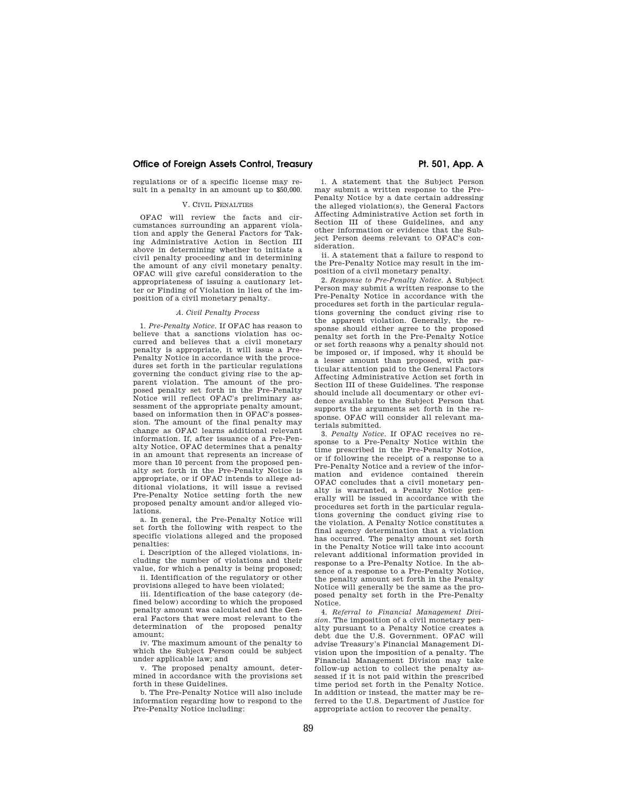# **Office of Foreign Assets Control, Treasury example 2011 Rep. A 2011, App. A**

regulations or of a specific license may result in a penalty in an amount up to \$50,000.

# V. CIVIL PENALTIES

OFAC will review the facts and circumstances surrounding an apparent violation and apply the General Factors for Taking Administrative Action in Section III above in determining whether to initiate a civil penalty proceeding and in determining the amount of any civil monetary penalty. OFAC will give careful consideration to the appropriateness of issuing a cautionary letter or Finding of Violation in lieu of the imposition of a civil monetary penalty.

### *A. Civil Penalty Process*

1. *Pre-Penalty Notice.* If OFAC has reason to believe that a sanctions violation has occurred and believes that a civil monetary penalty is appropriate, it will issue a Pre-Penalty Notice in accordance with the procedures set forth in the particular regulations governing the conduct giving rise to the apparent violation. The amount of the proposed penalty set forth in the Pre-Penalty Notice will reflect OFAC's preliminary assessment of the appropriate penalty amount, based on information then in OFAC's possession. The amount of the final penalty may change as OFAC learns additional relevant information. If, after issuance of a Pre-Penalty Notice, OFAC determines that a penalty in an amount that represents an increase of more than 10 percent from the proposed penalty set forth in the Pre-Penalty Notice is appropriate, or if OFAC intends to allege additional violations, it will issue a revised Pre-Penalty Notice setting forth the new proposed penalty amount and/or alleged violations.

a. In general, the Pre-Penalty Notice will set forth the following with respect to the specific violations alleged and the proposed penalties:

i. Description of the alleged violations, including the number of violations and their value, for which a penalty is being proposed;

ii. Identification of the regulatory or other provisions alleged to have been violated;

iii. Identification of the base category (defined below) according to which the proposed penalty amount was calculated and the General Factors that were most relevant to the determination of the proposed penalty amount;

iv. The maximum amount of the penalty to which the Subject Person could be subject under applicable law; and

v. The proposed penalty amount, determined in accordance with the provisions set forth in these Guidelines.

b. The Pre-Penalty Notice will also include information regarding how to respond to the Pre-Penalty Notice including:

i. A statement that the Subject Person may submit a written response to the Pre-Penalty Notice by a date certain addressing the alleged violation(s), the General Factors Affecting Administrative Action set forth in Section III of these Guidelines, and any other information or evidence that the Subject Person deems relevant to OFAC's consideration.

ii. A statement that a failure to respond to the Pre-Penalty Notice may result in the imposition of a civil monetary penalty.

2. *Response to Pre-Penalty Notice.* A Subject Person may submit a written response to the Pre-Penalty Notice in accordance with the procedures set forth in the particular regulations governing the conduct giving rise to the apparent violation. Generally, the response should either agree to the proposed penalty set forth in the Pre-Penalty Notice or set forth reasons why a penalty should not be imposed or, if imposed, why it should be a lesser amount than proposed, with particular attention paid to the General Factors Affecting Administrative Action set forth in Section III of these Guidelines. The response should include all documentary or other evidence available to the Subject Person that supports the arguments set forth in the response. OFAC will consider all relevant materials submitted.

3. *Penalty Notice.* If OFAC receives no response to a Pre-Penalty Notice within the time prescribed in the Pre-Penalty Notice, or if following the receipt of a response to a Pre-Penalty Notice and a review of the information and evidence contained therein OFAC concludes that a civil monetary penalty is warranted, a Penalty Notice generally will be issued in accordance with the procedures set forth in the particular regulations governing the conduct giving rise to the violation. A Penalty Notice constitutes a final agency determination that a violation has occurred. The penalty amount set forth in the Penalty Notice will take into account relevant additional information provided in response to a Pre-Penalty Notice. In the absence of a response to a Pre-Penalty Notice, the penalty amount set forth in the Penalty Notice will generally be the same as the proposed penalty set forth in the Pre-Penalty Notice.

4. *Referral to Financial Management Division.* The imposition of a civil monetary penalty pursuant to a Penalty Notice creates a debt due the U.S. Government. OFAC will advise Treasury's Financial Management Division upon the imposition of a penalty. The Financial Management Division may take follow-up action to collect the penalty assessed if it is not paid within the prescribed time period set forth in the Penalty Notice. In addition or instead, the matter may be referred to the U.S. Department of Justice for appropriate action to recover the penalty.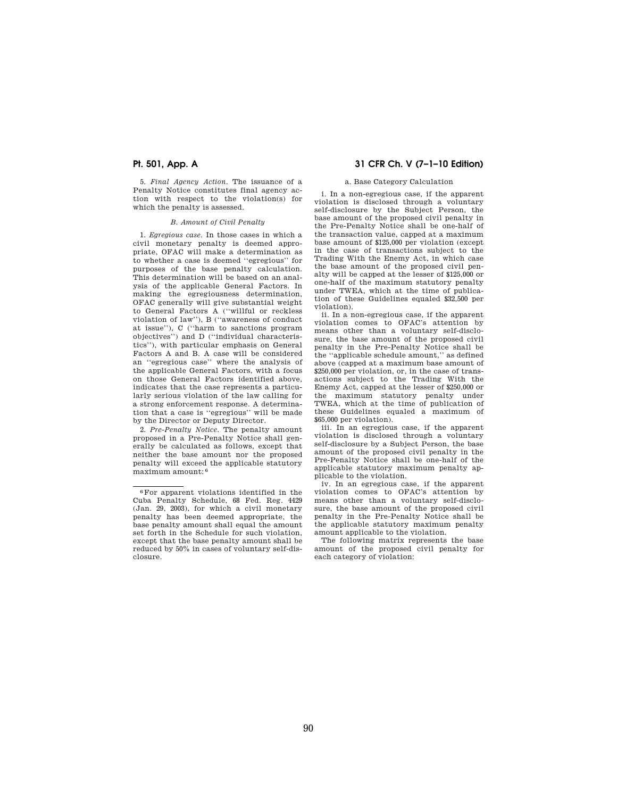5. *Final Agency Action.* The issuance of a Penalty Notice constitutes final agency action with respect to the violation(s) for which the penalty is assessed.

# *B. Amount of Civil Penalty*

1. *Egregious case.* In those cases in which a civil monetary penalty is deemed appropriate, OFAC will make a determination as to whether a case is deemed ''egregious'' for purposes of the base penalty calculation. This determination will be based on an analysis of the applicable General Factors. In making the egregiousness determination, OFAC generally will give substantial weight to General Factors A (''willful or reckless violation of law''), B (''awareness of conduct at issue''), C (''harm to sanctions program objectives'') and D (''individual characteristics''), with particular emphasis on General Factors A and B. A case will be considered an ''egregious case'' where the analysis of the applicable General Factors, with a focus on those General Factors identified above, indicates that the case represents a particularly serious violation of the law calling for a strong enforcement response. A determination that a case is ''egregious'' will be made by the Director or Deputy Director.

2. *Pre-Penalty Notice.* The penalty amount proposed in a Pre-Penalty Notice shall generally be calculated as follows, except that neither the base amount nor the proposed penalty will exceed the applicable statutory maximum amount: 6

# **Pt. 501, App. A 31 CFR Ch. V (7–1–10 Edition)**

## a. Base Category Calculation

i. In a non-egregious case, if the apparent violation is disclosed through a voluntary self-disclosure by the Subject Person, the base amount of the proposed civil penalty in the Pre-Penalty Notice shall be one-half of the transaction value, capped at a maximum base amount of \$125,000 per violation (except in the case of transactions subject to the Trading With the Enemy Act, in which case the base amount of the proposed civil penalty will be capped at the lesser of \$125,000 or one-half of the maximum statutory penalty under TWEA, which at the time of publication of these Guidelines equaled \$32,500 per violation).

ii. In a non-egregious case, if the apparent violation comes to OFAC's attention by means other than a voluntary self-disclosure, the base amount of the proposed civil penalty in the Pre-Penalty Notice shall be the ''applicable schedule amount,'' as defined above (capped at a maximum base amount of \$250,000 per violation, or, in the case of transactions subject to the Trading With the Enemy Act, capped at the lesser of \$250,000 or the maximum statutory penalty under TWEA, which at the time of publication of these Guidelines equaled a maximum of \$65,000 per violation).

iii. In an egregious case, if the apparent violation is disclosed through a voluntary self-disclosure by a Subject Person, the base amount of the proposed civil penalty in the Pre-Penalty Notice shall be one-half of the applicable statutory maximum penalty applicable to the violation.

iv. In an egregious case, if the apparent violation comes to OFAC's attention by means other than a voluntary self-disclosure, the base amount of the proposed civil penalty in the Pre-Penalty Notice shall be the applicable statutory maximum penalty amount applicable to the violation.

The following matrix represents the base amount of the proposed civil penalty for each category of violation:

<sup>6</sup>For apparent violations identified in the Cuba Penalty Schedule, 68 Fed. Reg. 4429 (Jan. 29, 2003), for which a civil monetary penalty has been deemed appropriate, the base penalty amount shall equal the amount set forth in the Schedule for such violation, except that the base penalty amount shall be reduced by 50% in cases of voluntary self-disclosure.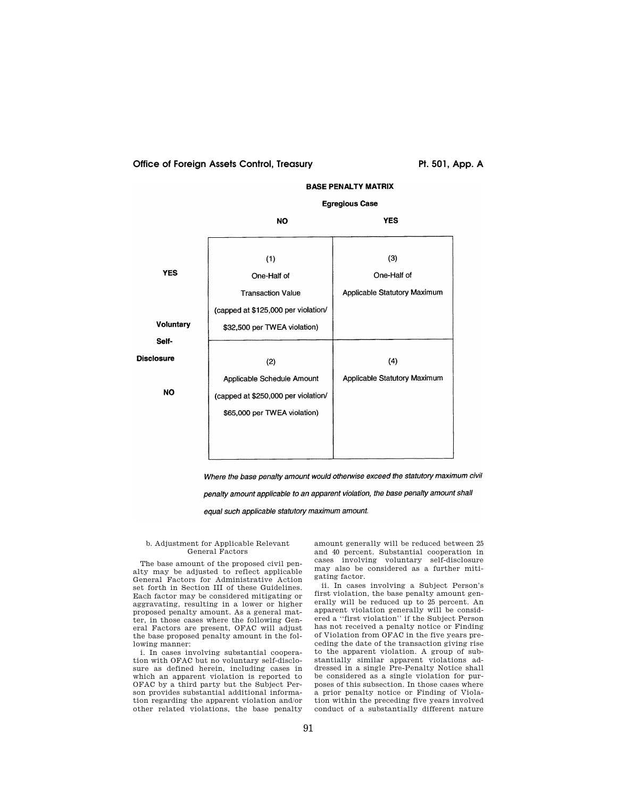# Office of Foreign Assets Control, Treasury **Primition Control** Pt. 501, App. A



Where the base penalty amount would otherwise exceed the statutory maximum civil

penalty amount applicable to an apparent violation, the base penalty amount shall

equal such applicable statutory maximum amount.

## b. Adjustment for Applicable Relevant General Factors

The base amount of the proposed civil penalty may be adjusted to reflect applicable General Factors for Administrative Action set forth in Section III of these Guidelines. Each factor may be considered mitigating or aggravating, resulting in a lower or higher proposed penalty amount. As a general matter, in those cases where the following General Factors are present, OFAC will adjust the base proposed penalty amount in the following manner:

i. In cases involving substantial cooperation with OFAC but no voluntary self-disclosure as defined herein, including cases in which an apparent violation is reported to OFAC by a third party but the Subject Person provides substantial additional information regarding the apparent violation and/or other related violations, the base penalty

amount generally will be reduced between 25 and 40 percent. Substantial cooperation in cases involving voluntary self-disclosure may also be considered as a further mitigating factor.

ii. In cases involving a Subject Person's first violation, the base penalty amount generally will be reduced up to 25 percent. An apparent violation generally will be considered a ''first violation'' if the Subject Person has not received a penalty notice or Finding of Violation from OFAC in the five years preceding the date of the transaction giving rise to the apparent violation. A group of substantially similar apparent violations addressed in a single Pre-Penalty Notice shall be considered as a single violation for purposes of this subsection. In those cases where a prior penalty notice or Finding of Violation within the preceding five years involved conduct of a substantially different nature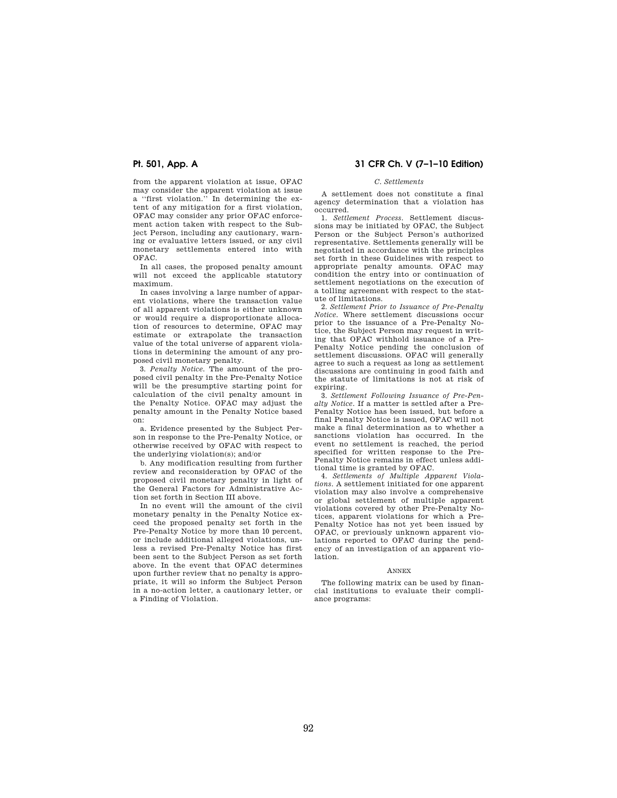from the apparent violation at issue, OFAC may consider the apparent violation at issue a ''first violation.'' In determining the extent of any mitigation for a first violation, OFAC may consider any prior OFAC enforcement action taken with respect to the Subject Person, including any cautionary, warning or evaluative letters issued, or any civil monetary settlements entered into with OFAC.

In all cases, the proposed penalty amount will not exceed the applicable statutory maximum.

In cases involving a large number of apparent violations, where the transaction value of all apparent violations is either unknown or would require a disproportionate allocation of resources to determine, OFAC may estimate or extrapolate the transaction value of the total universe of apparent violations in determining the amount of any proposed civil monetary penalty.

3. *Penalty Notice.* The amount of the proposed civil penalty in the Pre-Penalty Notice will be the presumptive starting point for calculation of the civil penalty amount in the Penalty Notice. OFAC may adjust the penalty amount in the Penalty Notice based on:

a. Evidence presented by the Subject Person in response to the Pre-Penalty Notice, or otherwise received by OFAC with respect to the underlying violation(s); and/or

b. Any modification resulting from further review and reconsideration by OFAC of the proposed civil monetary penalty in light of the General Factors for Administrative Action set forth in Section III above.

In no event will the amount of the civil monetary penalty in the Penalty Notice exceed the proposed penalty set forth in the Pre-Penalty Notice by more than 10 percent, or include additional alleged violations, unless a revised Pre-Penalty Notice has first been sent to the Subject Person as set forth above. In the event that OFAC determines upon further review that no penalty is appropriate, it will so inform the Subject Person in a no-action letter, a cautionary letter, or a Finding of Violation.

# **Pt. 501, App. A 31 CFR Ch. V (7–1–10 Edition)**

# *C. Settlements*

A settlement does not constitute a final agency determination that a violation has occurred.

1. *Settlement Process.* Settlement discussions may be initiated by OFAC, the Subject Person or the Subject Person's authorized representative. Settlements generally will be negotiated in accordance with the principles set forth in these Guidelines with respect to appropriate penalty amounts. OFAC may condition the entry into or continuation of settlement negotiations on the execution of a tolling agreement with respect to the statute of limitations.

2. *Settlement Prior to Issuance of Pre-Penalty Notice.* Where settlement discussions occur prior to the issuance of a Pre-Penalty Notice, the Subject Person may request in writing that OFAC withhold issuance of a Pre-Penalty Notice pending the conclusion of settlement discussions. OFAC will generally agree to such a request as long as settlement discussions are continuing in good faith and the statute of limitations is not at risk of expiring.

3. *Settlement Following Issuance of Pre-Penalty Notice.* If a matter is settled after a Pre-Penalty Notice has been issued, but before a final Penalty Notice is issued, OFAC will not make a final determination as to whether a sanctions violation has occurred. In the event no settlement is reached, the period specified for written response to the Pre-Penalty Notice remains in effect unless additional time is granted by OFAC.

4. *Settlements of Multiple Apparent Violations.* A settlement initiated for one apparent violation may also involve a comprehensive or global settlement of multiple apparent violations covered by other Pre-Penalty Notices, apparent violations for which a Pre-Penalty Notice has not yet been issued by OFAC, or previously unknown apparent violations reported to OFAC during the pendency of an investigation of an apparent violation.

### ANNEX

The following matrix can be used by financial institutions to evaluate their compliance programs: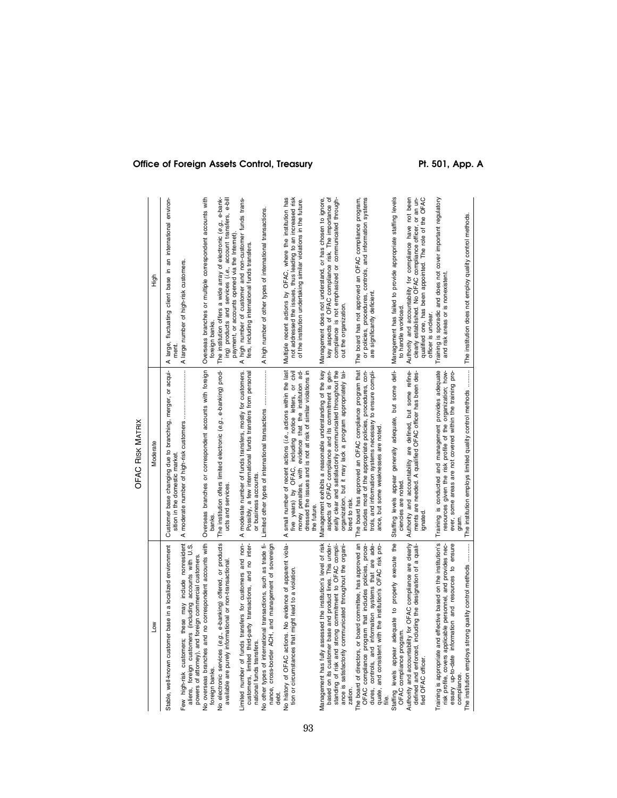| ŠΜ                                                                                                                                                                                                                                                            | Moderate                                                                                                                                                                                                                                                               | high                                                                                                                                                                                                      |
|---------------------------------------------------------------------------------------------------------------------------------------------------------------------------------------------------------------------------------------------------------------|------------------------------------------------------------------------------------------------------------------------------------------------------------------------------------------------------------------------------------------------------------------------|-----------------------------------------------------------------------------------------------------------------------------------------------------------------------------------------------------------|
| Stable, well-known customer base in a localized environment                                                                                                                                                                                                   | Customer base changing due to branching, merger, or acqui-<br>sition in the domestic market                                                                                                                                                                            | A large, fluctuating client base in an international environ-<br>ment                                                                                                                                     |
| Few high-risk customers; these may include nonresident<br>aliens, foreign customers (including accounts with U.S.<br>powers of attorney), and foreign commercial customers.                                                                                   |                                                                                                                                                                                                                                                                        | A large number of high-risk customers.                                                                                                                                                                    |
| No overseas branches and no correspondent accounts with<br>foreign banks.                                                                                                                                                                                     | Overseas branches or correspondent accounts with foreign<br>banks.                                                                                                                                                                                                     | Overseas branches or multiple correspondent accounts with<br>foreign banks.                                                                                                                               |
| Vo electronic services (e.g., e-banking) offered, or products<br>available are purely informational or non-transactional                                                                                                                                      | The institution offers limited electronic (e.g., e-banking) prod-<br>ucts and services.                                                                                                                                                                                | The institution offers a wide array of electronic (e.g., e-bank-<br>ing) products and services (i.e., account transfers, e-bill<br>payment, or accounts opened via the Internet)                          |
| Limited number of funds transfers for customers and non-<br>customers, limited third-party transactions, and no inter-<br>national funds transfers.                                                                                                           | A moderate number of funds transfers, mostly for customers.<br>Possibly, a few international funds transfers from personal<br>or business accounts.                                                                                                                    | high number of customer and non-customer funds trans-<br>fers, including international funds transfers.<br>⋖                                                                                              |
| Vo other types of international transactions, such as trade fi-<br>nance, cross-border ACH, and management of sovereign<br>debt.                                                                                                                              | Limited other types of international transactions                                                                                                                                                                                                                      | A high number of other types of international transactions.                                                                                                                                               |
| Vo history of OFAC actions. No evidence of apparent viola-<br>tion or circumstances that might lead to a violation.                                                                                                                                           | A small number of recent actions (i.e., actions within the last<br>money penalties, with evidence that the institution ad-<br>five years) by OFAC, including notice letters, or civil<br>dressed the issues and is not at risk of similar violations in<br>the future. | Multiple recent actions by OFAC, where the institution has<br>not addressed the issues, thus leading to an increased risk<br>of the institution undertaking similar violations in the future.             |
| Management has fully assessed the institution's level of risk<br>based on its customer base and product lines. This under-<br>standing of risk and strong commitment to OFAC compli-<br>ance is satisfactorily communicated throughout the organi-<br>zation. | Management exhibits a reasonable understanding of the key<br>aspects of OFAC compliance and its commitment is gen-<br>erally clear and satisfactorily communicated throughout the<br>organization, but it may lack a program appropriately tai-<br>lored to risk.      | Management does not understand, or has chosen to ignore,<br>key aspects of OFAC compliance risk. The importance of<br>compliance is not emphasized or communicated through-<br>out the organization.      |
| he board of directors, or board committee, has approved an<br>controls, and information systems that are ade-<br>quate, and consistent with the institution's OFAC risk pro-<br>OFAC compliance program that includes policies, proce-<br>dures,              | The board has approved an OFAC compliance program that<br>includes most of the appropriate policies, procedures, con-<br>trols, and information systems necessary to ensure compli-<br>ance, but some weaknesses are noted.                                            | or policies, procedures, controls, and information systems<br>The board has not approved an OFAC compliance program,<br>are significantly deficient                                                       |
| Staffing levels appear adequate to properly execute the<br>OFAC compliance program.                                                                                                                                                                           | Staffing levels appear generally adequate, but some defi-<br>ciencies are noted.                                                                                                                                                                                       | Management has failed to provide appropriate staffing levels<br>to handle workload.                                                                                                                       |
| Authority and accountability for OFAC compliance are clearly<br>defined and enforced, including the designation of a quali-<br>ied OFAC officer                                                                                                               | Authority and accountability are defined, but some refine-<br>ments are needed. A qualified OFAC officer has been des-<br>gnated.                                                                                                                                      | qualified one, has been appointed. The role of the OFAC<br>clearly established. No OFAC compliance officer, or an un-<br>Authority and accountability for compliance have not been<br>officer is unclear. |
| Fraining is appropriate and effective based on the institution's<br>essary up-to-date information and resources to ensure<br>risk profile, covers applicable personnel, and provides nec-                                                                     | Training is conducted and management provides adequate<br>resources given the risk profile of the organization; how-<br>ever, some areas are not covered within the training pro-                                                                                      | Training is sporadic and does not cover important regulatory<br>and risk areas or is nonexistent.                                                                                                         |
| The institution employs strong quality control methods                                                                                                                                                                                                        | The institution employs limited quality control methods  The institution does not employ quality control methods.                                                                                                                                                      |                                                                                                                                                                                                           |

# OFAC RISK OFAC RISK MATRIX

# Office of Foreign Assets Control, Treasury **Pt. 501, App. A**